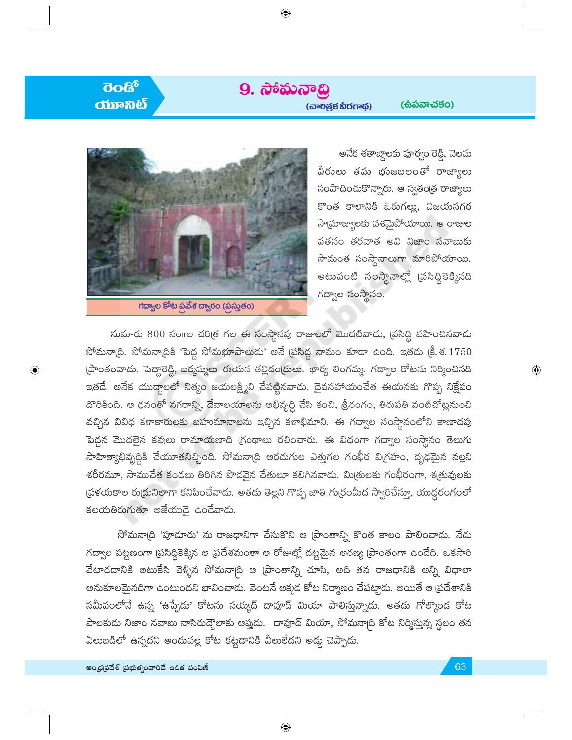## $\overline{3}$ ಯಾನಿಟ

 $\bigoplus$ 

### 9. ನಾಮನಾದ್ರಿ

 $\bigoplus$ 

(ස්බ්කැය්ජිර)



 $\overline{\phantom{a}}$ గద్వాల కోట ప్రవేశ ద్వారం (ప్రస్తుతం)

అనేక శతాబ్దాలకు పూర్వం రెడ్డి, వెలమ వీరులు తమ భుజబలంతో రాజ్యాలు సంపాదించుకొన్నారు. ఆ స్వతం[త రాజ్యాలు కొంత కాలానికి ఓరుగల్లు, విజయనగర సాయ్రాజ్యాలకు వశమైపోయాయి. ఆ రాజుల పతనం తరవాత అవి నిజాం నవాబుకు సామంత సంస్థానాలుగా మారిపోయాయి. అటువంటి సంస్థానాల్లో (పసిద్ధికెక్కినది గద్వాల సంస్థానం.

సుమారు 800 సంగల చరిత్ర గల ఈ సంస్థానపు రాజులలో మొదటివాదు, ప్రసిద్ధి వహించినవాదు సోమనా(ది. సోమనా(దికి 'పెద్ద సోమభూపాలుడు' అనే (పసిద్ధ నామం కూడా ఉంది. ఇతడు (కీ.శ. $1750\,$ (పాంతంవాదు. పెద్దారెడ్డి, బక్కమ్మలు ఈయన తల్లిదం(దులు. భార్య లింగమ్మ. గద్వాల కోటను నిర్మించినది ఇతడే. అనేక యుద్ధాలలో నిత్యం జయలక్ష్మిని చేపట్టినవాదు. దైవసహాయంచేత ఈయనకు గొప్ప నిక్షేపం దొరికింది. ఆ ధనంతో నగరాన్ని, దేవాలయాలను అభివృద్ధి చేసి కంచి, శ్రీరంగం, తిరుపతి వంటిచోట్లనుంచి వచ్చిన వివిధ కళాకారులకు బహుమానాలను ఇచ్చిన కళాభిమాని. ఈ గద్వాల సంస్థానంలోని కాణాదపు పెద్దన మొదలైన కవులు రామాయణాది (గంథాలు రచించారు. ఈ విధంగా గద్వాల సంస్థానం తెలుగు సాహిత్యాభివృద్ధికి చేయూతనిచ్చింది. సోమనా(ది ఆరడుగుల ఎత్తుగల గంభీర వి(గహం, దృఢమైన నల్లని శరీరమూ, సాముచేత కండలు తిరిగిన పొడవైన చేతులూ కలిగినవాడు. మిత్రులకు గంభీరంగా, శత్రువులకు ప్రకయకాల రుద్రునిలాగా కనిపించేవాడు. అతడు తెల్లని గొప్ప జాతి గుర్రంమీద స్వారిచేస్తూ, యుద్ధరంగంలో  $\mathcal{S}$ లయతిరుగుతూ అజేయుడై ఉందేవాదు.

సోమనా(ది 'పూడూరు' ను రాజధానిగా చేసుకొని ఆ (పాంతాన్ని కొంత కాలం పాలించాదు. నేదు గద్వాల పట్టణంగా (పసిద్ధికెక్కిన ఆ (పదేశమంతా ఆ రోజుల్లో దట్టమైన అరణ్య (పాంతంగా ఉండేది. ఒకసారి వేటాదడానికి అటుకేసి వెళ్ళిన సోమనా<sub>(</sub>ది ఆ (పాంతాన్ని చూసి, అది తన రాజధానికి అన్ని విధాలా అనుకూలమైనదిగా ఉంటుందని భావించాదు. వెంటనే అక్కడ కోట నిర్మాణం చేపట్టాడు. అయితే ఆ ప్రదేశానికి సమీపంలోనే ఉన్న 'ఉప్పేడు' కోటను సయ్యద్ దావూద్ మియా పాలిస్తున్నాడు. అతడు గోల్కొండ కోట పాలకుడు నిజాం నవాబు నాసిరుద్దౌలాకు ఆప్తుడు. దావూద్ మియా, సోమనా[ది కోట నిర్మిస్తున్న స్థలం తన ఏలుబడిలో ఉన్నదని అందువల్ల కోట కట్టడానికి వీలులేదని అడ్డు చెప్పాడు.

 $\textcolor{black}{\textcolor{black}{\bigoplus}}$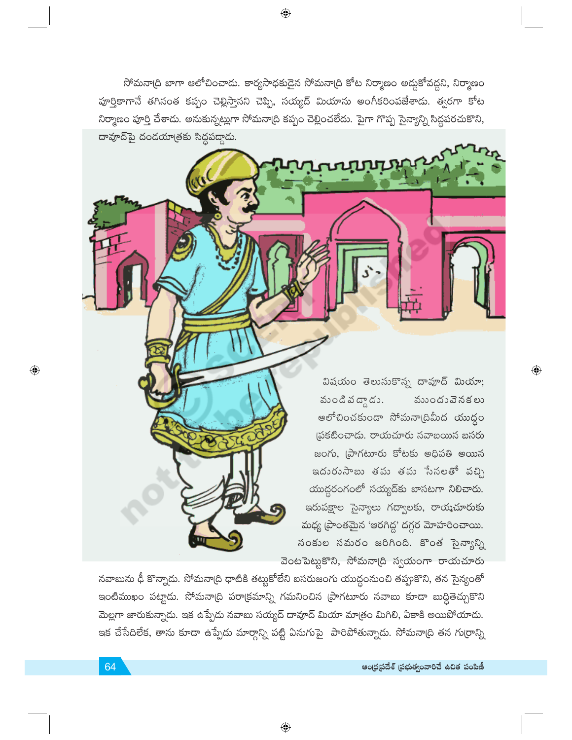సోమనా(ది బాగా ఆలోచించాడు. కార్యసాధకుడైన సోమనా(ది కోట నిర్మాణం అద్దకోవద్దని, నిర్మాణం పూర్తికాగానే తగినంత కప్పం చెల్లిస్తానని చెప్పి, సయ్యద్ మియాను అంగీకరింపజేశాడు. త్వరగా కోట నిర్మాణం పూర్తి చేశాదు. అనుకున్నట్లుగా సోమనా(ది కప్పం చెల్లించలేదు. పైగా గొప్ప సైన్యాన్ని సిద్ధపరచుకొని, దావూద్ పై దండయాత్రకు సిద్ధపడ్డాడు.

**LUTITITIA** 

 $\bigoplus$ 

విషయం తెలుసుకొన్న దావూద్ మియా; నుండి వ $\overline{\mathbf{a}}$  దాడి **ముందు**వెనకలు ఆలోచించకుండా సోమనా(దిమీద యుద్ధం ప్రకటించాడు. రాయచూరు నవాబయిన బసరు జంగు, (పాగటూరు కోటకు అధిపతి అయిన ఇదురుసాబు తమ తమ సేనలతో వచ్చి యుద్ధరంగంలో సయ్యద్కు బాసటగా నిలిచారు. ఇరుపక్షాల సైన్యాలు గద్వాలకు, రాయచూరుకు మధ్య (పాంతమైన 'ఆరగిద్ద' దగ్గర మోహరించాయి. సంకుల సమరం జరిగింది. కొంత సైన్యాన్ని వెంటపెట్టుకొని, సోమనా[ది స్వయంగా రాయచూరు

 $\bigoplus$ 

నవాబును ఢీ కొన్నాదు. సోమనా(ది ధాటికి తట్టుకోలేని బసరుజంగు యుద్ధంనుంచి తప్పుకొని, తన సైన్యంతో ఇంటిముఖం పట్టాడు. సోమనా(ది పరా(కమాన్ని గమనించిన (పాగటూరు నవాబు కూడా బుద్ధితెచ్చుకొని మెల్లగా జారుకున్నాదు. ఇక ఉప్పేదు నవాబు సయ్యద్ దావూద్ మియా మాత్రం మిగిలి, ఏకాకి అయిపోయాదు. ఇక చేసేదిలేక, తాను కూడా ఉప్పేదు మార్గాన్ని పట్టి ఏనుగుపై పారిపోతున్నాడు. సోమనా(ది తన గు(రాన్ని

 $\bigoplus$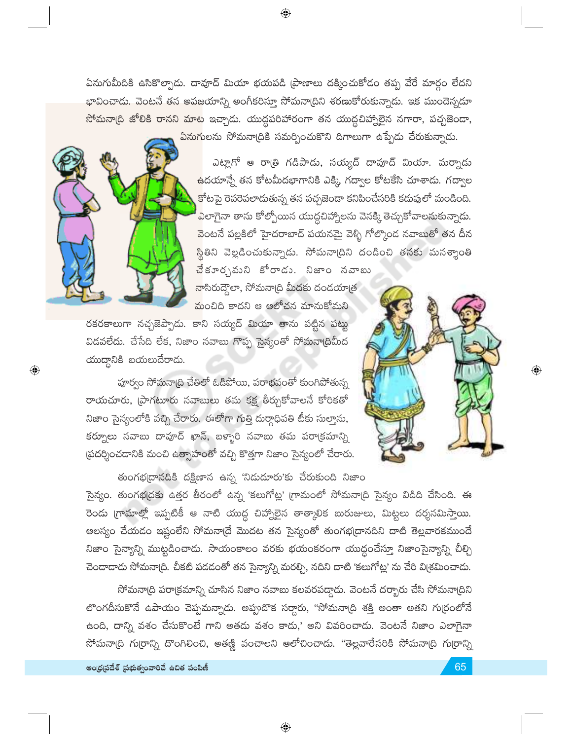ఏనుగుమీదికి ఉసికొల్పాడు. దావూద్ మియా భయపడి (పాణాలు దక్కించుకోడం తప్ప వేరే మార్గం లేదని భావించాదు. వెంటనే తన అపజయాన్ని అంగీకరిస్తూ సోమనా(దిని శరణుకోరుకున్నాడు. ఇక ముందెన్నదూ సోమనా(ది జోలికి రానని మాట ఇచ్చాడు. యుద్ధపరిహారంగా తన యుద్ధచిహ్నాలైన నగారా, పచ్చజెండా, <mark>ఏనుగ</mark>ులను సోమనా(దికి సమర్పించుకొని దిగాలుగా ఉప్పేడు చేరుకున్నాడు.

 $\bigoplus$ 



 $\textcolor{black}{\textcolor{black}{\bigcirc}}$ 

ఎట్లాగో ఆ రాత్రి గడిపాడు, సయ్యద్ దావూద్ మియా. మర్నాడు <mark>ఉ</mark>దయాన్నే తన కోటమీదభాగానికి ఎక్కి, గద్వాల కోటకేసి చూశాదు. గద్వాల <mark>కోటపై రెపరెపలాదుతున్న తన పచ్చజెందా కనిపించేసరికి కదుపులో మండింది.</mark> <mark>ఎ</mark>లాగైనా తాను కోల్పోయిన యుద్దచిహ్నాలను వెనక్కి తెచ్చుకోవాలనుకున్నాడు. <mark>వెంటనే పల్లకిలో హైదరాబాద్ పయనమై వెళ్ళి గోల్కొంద నవాబుతో తన దీన</mark> స్థితిని వెల్లడించుకున్నాడు. సోమనా(దిని దండించి తనకు మనశ్శాంతి <mark>చే</mark>కూర్చమని కోరాడు. నిజాం నవాబు

<mark>నా</mark>సిరుద్దౌలా, సోమనా(ది మీదకు దండయా(త మంచిది కాదని ఆ ఆలోచన మానుకోమని

రకరకాలుగా నచ్చజెప్పాడు. కాని సయ్యద్ మియా తాను పట్టిన పట్టు విడవలేదు. చేసేది లేక, నిజాం నవాబు గొప్ప సైన్యంతో సోమనా(దిమీద ထားတွေလိနီ ဆထားပောက်ကောင်း.

పూర్వం సోమనా(ది చేతిలో ఓడిపోయి, పరాభవంతో కుంగిపోతున్న రాయచూరు, (పాగటూరు నవాబులు తమ కక్ష తీర్చుకోవాలనే కోరికతో నిజాం సైన్యంలోకి వచ్చి చేరారు. ఈలోగా గుత్తి దుర్గాధిపతి టీకు సుల్తాను, కర్నూలు నవాబు దావూద్ ఖాన్, బళ్ళారి నవాబు తమ పరా(కమాన్ని థ్రదర్శించడానికి మంచి ఉత్సాహంతో వచ్చి కొత్తగా నిజాం సైన్యంలో చేరారు.



 $\textcolor{black}{\textcolor{black}{\bigoplus}}$ 

తుంగభద్రానదికి దక్షిణాన ఉన్న 'నిడుదూరు'కు చేరుకుంది నిజాం సైన్యం. తుంగభ(్రకు ఉత్తర తీరంలో ఉన్న 'కలుగోట్ల' (గామంలో సోమనా(ది సైన్యం విడిది చేసింది. ఈ రెండు గ్రామాల్లో ఇప్పటికీ ఆ నాటి యుద్ధ చిహ్నాలైన తాత్కాలిక బురుజులు, మిట్టలు దర్శనమిస్తాయి. ఆలస్యం చేయడం ఇష్టంలేని సోమనా[దే మొదట తన సైన్యంతో తుంగభ[దానదిని దాటి తెల్లవారకముందే నిజాం సైన్యాన్ని ముట్టడించాడు. సాయంకాలం వరకు భయంకరంగా యుద్ధంచేస్తూ నిజాంసైన్యాన్ని చీల్చి చెందాదాదు సోమనా(ది. చీకటి పడడంతో తన సైన్యాన్ని మరల్చి, నదిని దాటి 'కలుగోట్ల' ను చేరి వి(శమించాడు.

సోమనా(ది పరా(కమాన్ని చూసిన నిజాం నవాబు కలవరపడ్డాడు. వెంటనే దర్భారు చేసి సోమనా(దిని లొంగదీసుకొనే ఉపాయం చెప్పమన్నాడు. అప్పుడొక సర్గారు, "సోమనా(ది శక్తి అంతా అతని గుర్రంలోనే ఉంది, దాన్ని వశం చేసుకొంటే గాని అతడు వశం కాదు,' అని వివరించాడు. వెంటనే నిజాం ఎలాగైనా సోమనా(ది గు(రాన్ని దొంగిలించి, అతణ్ణి వంచాలని ఆలోచించాడు. "తెల్లవారేసరికి సోమనా(ది గు(రాన్ని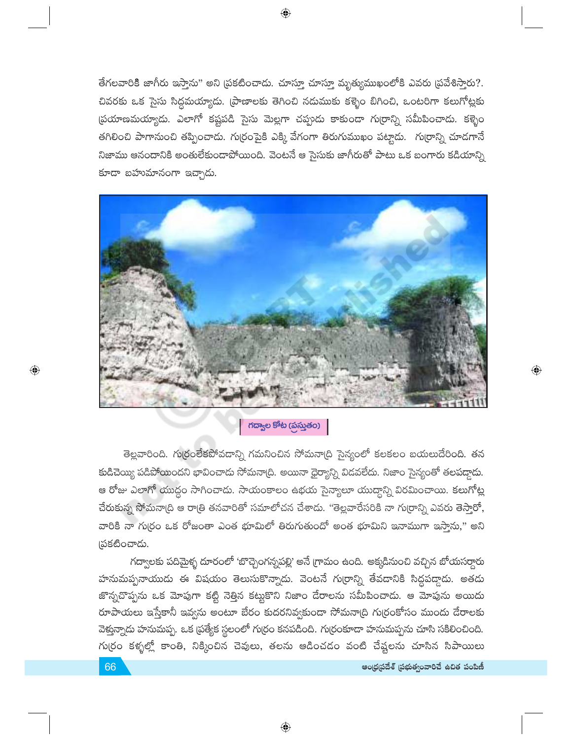తేగలవారికి జాగీరు ఇస్తాను" అని (పకటించాడు. చూస్తూ చూస్తూ మృత్యముఖంలోకి ఎవరు (పవేశిస్తారు?. చివరకు ఒక సైసు సిద్ధమయ్యాదు. (పాణాలకు తెగించి నదుముకు కళ్ళెం బిగించి, ఒంటరిగా కలుగోట్లకు స్రయాణమయ్యాదు. ఎలాగో కష్టపడి సైసు మెల్లగా చప్పుడు కాకుండా గుర్రాన్ని సమీపించాడు. కళ్ళెం తగిలించి పాగానుంచి తప్పించాడు. గుర్రంపైకి ఎక్కి వేగంగా తిరుగుముఖం పట్టాడు. గుర్రాన్ని చూడగానే నిజాము ఆనందానికి అంతులేకుండాపోయింది. వెంటనే ఆ సైసుకు జాగీరుతో పాటు ఒక బంగారు కడియాన్ని కూడా బహుమానంగా ఇచ్చాడు.

⊕



### గద్వాల కోట (ప్రస్తుతం)

తెల్లవారింది. గుర్రంలేకపోవడాన్ని గమనించిన సోమనా(ది సైన్యంలో కలకలం బయలుదేరింది. తన కుడిచెయ్యి పడిపోయిందని భావించాడు సోమనా(ది. అయినా ధైర్యాన్ని విడవలేదు. నిజాం సైన్యంతో తలపడ్డాడు. ఆ రోజు ఎలాగో యుద్ధం సాగించాడు. సాయంకాలం ఉభయ సైన్యాలూ యుద్ధాన్ని విరమించాయి. కలుగోట్ల చేరుకున్న సోమనా(ది ఆ రాత్రి తనవారితో సమాలోచన చేశాడు. "తెల్లవారేసరికి నా గు(రాన్ని ఎవరు తెస్తారో, వారికి నా గుర్రం ఒక రోజంతా ఎంత భూమిలో తిరుగుతుందో అంత భూమిని ఇనాముగా ఇస్తాను," అని (పకటించాడు.

గద్వాలకు పదిమైళ్ళ దూరంలో 'బొచ్చెంగన్నపల్లి' అనే గ్రామం ఉంది. అక్కడినుంచి వచ్చిన బోయసర్దారు హనుమప్పనాయుడు ఈ విషయం తెలుసుకొన్నాడు. వెంటనే గుర్రాన్ని తేవడానికి సిద్ధపడ్గాడు. అతడు జొన్నచొప్పను ఒక మోపుగా కట్టి నెత్తిన కట్టుకొని నిజాం దేరాలను సమీపించాడు. ఆ మోపును అయిదు రూపాయలు ఇస్తేకానీ ఇవ్వను అంటూ బేరం కుదరనివ్వకుండా సోమనా(ది గు(రంకోసం ముందు దేరాలకు వెళ్తున్నాడు హనుమప్ప. ఒక ప్రత్యేక స్థలంలో గుర్రం కనపడింది. గుర్రంకూడా హనుమప్పను చూసి సకిలించింది. గు(రం కళ్ళల్లో కాంతి, నిక్కించిన చెవులు, తలను ఆడించడం వంటి చేష్టలను చూసిన సిపాయిలు  $\textcolor{black}{\textcolor{black}{\bigoplus}}$ 

 $\textcolor{black}{\textcolor{black}{\bigcirc}}$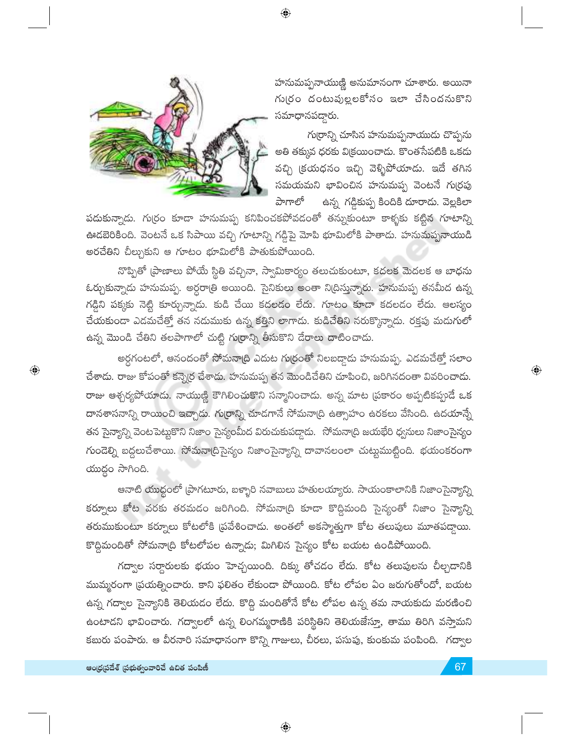$\bigoplus$ 



హనుమప్పనాయుణ్ణి అనుమానంగా చూశారు. అయినా గు(రం దంటుపుల్లలకోసం ఇలా చేసిందనుకొని సమాధానపడ్డారు.

గుర్రాన్ని చూసిన హనుమప్పనాయుడు చొప్పను అతి తక్కువ ధరకు విక్రయించాడు. కొంతసేపటికి ఒకదు వచ్చి (కయధనం ఇచ్చి వెళ్ళిపోయాడు. ఇదే తగిన సమయమని భావించిన హనుమప్ప వెంటనే గుర్రపు పాగాలో ఉన్న గడ్డికుప్ప కిందికి దూరాదు. వెల్లకిలా

పదుకున్నాదు. గుర్రం కూడా హనుమప్ప కనిపించకపోవడంతో తన్నుకుంటూ కాళ్ళకు కట్టిన గూటాన్ని ఊడబెరికింది. వెంటనే ఒక సిపాయి వచ్చి గూటాన్ని గడ్డిపై మోపి భూమిలోకి పాతాడు. హనుమప్పనాయుడి అరచేతిని చీల్చుకుని ఆ గూటం భూమిలోకి పాతుకుపోయింది.

నొప్పితో (పాణాలు పోయే స్థితి వచ్చినా, స్వామికార్యం తలుచుకుంటూ, కదలక మెదలక ఆ బాధను ఓర్చుకున్నాడు హనుమప్ప. అర్ధరా(తి అయింది. సైనికులు అంతా ని(దిస్తున్నారు. హనుమప్ప తనమీద ఉన్న గడ్డిని పక్కకు నెట్టి కూర్చున్నాడు. కుడి చేయి కదలడం లేదు. గూటం కూడా కదలడం లేదు. ఆలస్యం చేయకుండా ఎడమచేత్తో తన నడుముకు ఉన్న కత్తిని లాగాడు. కుడిచేతిని నరుక్కొన్నాడు. రక్తపు మడుగులో ఉన్న మొండి చేతిని తలపాగాలో చుట్టి గు[రాన్ని తీసుకొని దేరాలు దాటించాడు.

అర్ధగంటలో, ఆనందంతో సోమనాద్రి ఎదుట గుర్రంతో నిలబడ్దాడు హనుమప్ప. ఎడమచేత్తో సలాం చేశాదు. రాజు కోపంతో కన్నెర్ర చేశాదు. హనుమప్ప తన మొండిచేతిని చూపించి, జరిగినదంతా వివరించాదు. రాజు ఆశ్చర్యపోయాడు. నాయుణ్ణి కౌగిలించుకొని సన్మానించాడు. అన్న మాట (పకారం అప్పటికప్పుడే ఒక దానశాసనాన్ని రాయించి ఇచ్చాడు. గుర్రాన్ని చూడగానే సోమనా(ది ఉత్సాహం ఉరకలు వేసింది. ఉదయాన్నే తన సైన్యాన్ని వెంటపెట్టుకొని నిజాం సైన్యంమీద విరుచుకుపద్దాడు. సోమనా(ది జయభేరి ధ్వనులు నిజాంసైన్యం గుండెల్ని బద్ధలుచేశాయి. సోమనా(దిసైన్యం నిజాంసైన్యాన్ని దావానలంలా చుట్టుముట్టింది. భయంకరంగా యుద్ధం సాగింది.

ఆనాటి యుద్ధంలో (పాగటూరు, బళ్ళారి నవాబులు హతులయ్యారు. సాయంకాలానికి నిజాంసైన్యాన్ని కర్నూలు కోట వరకు తరమడం జరిగింది. సోమనా(ది కూడా కొద్దిమంది సైన్యంతో నిజాం సైన్యాన్ని తరుముకుంటూ కర్నూలు కోటలోకి (పవేశించాడు. అంతలో అకస్మాత్తుగా కోట తలుపులు మూతపద్దాయి. కొద్దిమందితో సోమనా(ది కోటలోపల ఉన్నాడు; మిగిలిన సైన్యం కోట బయట ఉండిపోయింది.

గద్వాల సర్దారులకు భయం హెచ్చయింది. దిక్కు తోచడం లేదు. కోట తలుపులను చీల్చడానికి ముమ్మరంగా (పయత్నించారు. కాని ఫలితం లేకుండా పోయింది. కోట లోపల ఏం జరుగుతోందో, బయట ఉన్న గద్వాల సైన్యానికి తెలియడం లేదు. కొద్ది మందితోనే కోట లోపల ఉన్న తమ నాయకుడు మరణించి ఉంటాడని భావించారు. గద్వాలలో ఉన్న లింగమ్మరాణికి పరిస్థితిని తెలియజేస్తూ, తాము తిరిగి వస్తామని కబురు పంపారు. ఆ వీరనారి సమాధానంగా కొన్ని గాజులు, చీరలు, పసుపు, కుంకుమ పంపింది. గద్వాల

 $\bigoplus$ 

 $\textcolor{black}{\textcolor{black}{\bigoplus}}$